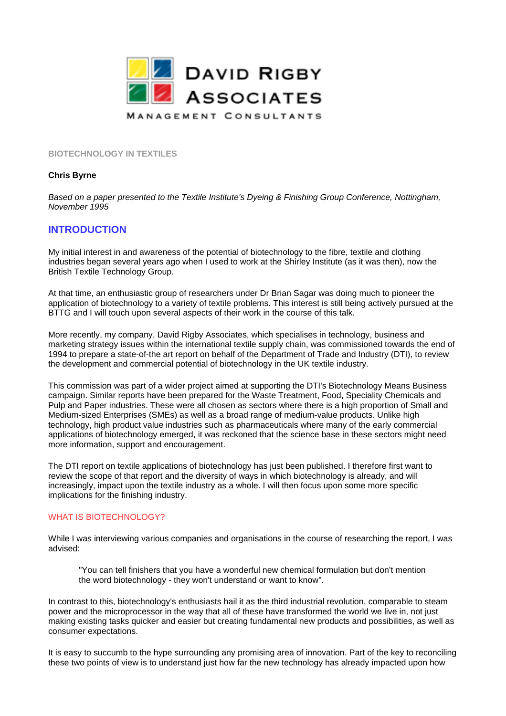

**BIOTECHNOLOGY IN TEXTILES**

#### **Chris Byrne**

*Based on a paper presented to the Textile Institute's Dyeing & Finishing Group Conference, Nottingham, November 1995*

# **INTRODUCTION**

My initial interest in and awareness of the potential of biotechnology to the fibre, textile and clothing industries began several years ago when I used to work at the Shirley Institute (as it was then), now the British Textile Technology Group.

At that time, an enthusiastic group of researchers under Dr Brian Sagar was doing much to pioneer the application of biotechnology to a variety of textile problems. This interest is still being actively pursued at the BTTG and I will touch upon several aspects of their work in the course of this talk.

More recently, my company, David Rigby Associates, which specialises in technology, business and marketing strategy issues within the international textile supply chain, was commissioned towards the end of 1994 to prepare a state-of-the art report on behalf of the Department of Trade and Industry (DTI), to review the development and commercial potential of biotechnology in the UK textile industry.

This commission was part of a wider project aimed at supporting the DTI's Biotechnology Means Business campaign. Similar reports have been prepared for the Waste Treatment, Food, Speciality Chemicals and Pulp and Paper industries. These were all chosen as sectors where there is a high proportion of Small and Medium-sized Enterprises (SMEs) as well as a broad range of medium-value products. Unlike high technology, high product value industries such as pharmaceuticals where many of the early commercial applications of biotechnology emerged, it was reckoned that the science base in these sectors might need more information, support and encouragement.

The DTI report on textile applications of biotechnology has just been published. I therefore first want to review the scope of that report and the diversity of ways in which biotechnology is already, and will increasingly, impact upon the textile industry as a whole. I will then focus upon some more specific implications for the finishing industry.

#### WHAT IS BIOTECHNOLOGY?

While I was interviewing various companies and organisations in the course of researching the report, I was advised:

"You can tell finishers that you have a wonderful new chemical formulation but don't mention the word biotechnology - they won't understand or want to know".

In contrast to this, biotechnology's enthusiasts hail it as the third industrial revolution, comparable to steam power and the microprocessor in the way that all of these have transformed the world we live in, not just making existing tasks quicker and easier but creating fundamental new products and possibilities, as well as consumer expectations.

It is easy to succumb to the hype surrounding any promising area of innovation. Part of the key to reconciling these two points of view is to understand just how far the new technology has already impacted upon how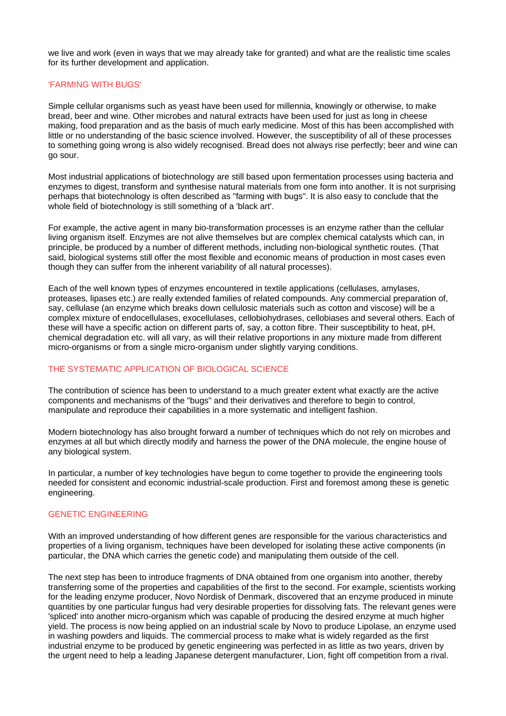we live and work (even in ways that we may already take for granted) and what are the realistic time scales for its further development and application.

## 'FARMING WITH BUGS'

Simple cellular organisms such as yeast have been used for millennia, knowingly or otherwise, to make bread, beer and wine. Other microbes and natural extracts have been used for just as long in cheese making, food preparation and as the basis of much early medicine. Most of this has been accomplished with little or no understanding of the basic science involved. However, the susceptibility of all of these processes to something going wrong is also widely recognised. Bread does not always rise perfectly; beer and wine can go sour.

Most industrial applications of biotechnology are still based upon fermentation processes using bacteria and enzymes to digest, transform and synthesise natural materials from one form into another. It is not surprising perhaps that biotechnology is often described as "farming with bugs". It is also easy to conclude that the whole field of biotechnology is still something of a 'black art'.

For example, the active agent in many bio-transformation processes is an enzyme rather than the cellular living organism itself. Enzymes are not alive themselves but are complex chemical catalysts which can, in principle, be produced by a number of different methods, including non-biological synthetic routes. (That said, biological systems still offer the most flexible and economic means of production in most cases even though they can suffer from the inherent variability of all natural processes).

Each of the well known types of enzymes encountered in textile applications (cellulases, amylases, proteases, lipases etc.) are really extended families of related compounds. Any commercial preparation of, say, cellulase (an enzyme which breaks down cellulosic materials such as cotton and viscose) will be a complex mixture of endocellulases, exocellulases, cellobiohydrases, cellobiases and several others. Each of these will have a specific action on different parts of, say, a cotton fibre. Their susceptibility to heat, pH, chemical degradation etc. will all vary, as will their relative proportions in any mixture made from different micro-organisms or from a single micro-organism under slightly varying conditions.

# THE SYSTEMATIC APPLICATION OF BIOLOGICAL SCIENCE

The contribution of science has been to understand to a much greater extent what exactly are the active components and mechanisms of the "bugs" and their derivatives and therefore to begin to control, manipulate and reproduce their capabilities in a more systematic and intelligent fashion.

Modern biotechnology has also brought forward a number of techniques which do not rely on microbes and enzymes at all but which directly modify and harness the power of the DNA molecule, the engine house of any biological system.

In particular, a number of key technologies have begun to come together to provide the engineering tools needed for consistent and economic industrial-scale production. First and foremost among these is genetic engineering.

#### GENETIC ENGINEERING

With an improved understanding of how different genes are responsible for the various characteristics and properties of a living organism, techniques have been developed for isolating these active components (in particular, the DNA which carries the genetic code) and manipulating them outside of the cell.

The next step has been to introduce fragments of DNA obtained from one organism into another, thereby transferring some of the properties and capabilities of the first to the second. For example, scientists working for the leading enzyme producer, Novo Nordisk of Denmark, discovered that an enzyme produced in minute quantities by one particular fungus had very desirable properties for dissolving fats. The relevant genes were 'spliced' into another micro-organism which was capable of producing the desired enzyme at much higher yield. The process is now being applied on an industrial scale by Novo to produce Lipolase, an enzyme used in washing powders and liquids. The commercial process to make what is widely regarded as the first industrial enzyme to be produced by genetic engineering was perfected in as little as two years, driven by the urgent need to help a leading Japanese detergent manufacturer, Lion, fight off competition from a rival.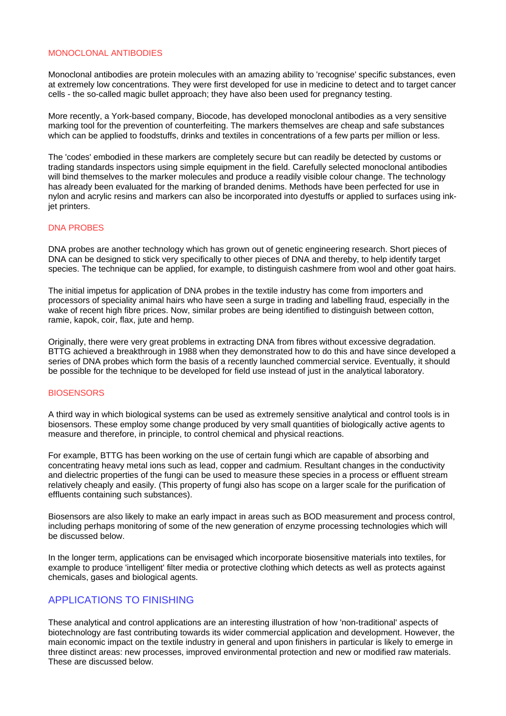#### MONOCLONAL ANTIBODIES

Monoclonal antibodies are protein molecules with an amazing ability to 'recognise' specific substances, even at extremely low concentrations. They were first developed for use in medicine to detect and to target cancer cells - the so-called magic bullet approach; they have also been used for pregnancy testing.

More recently, a York-based company, Biocode, has developed monoclonal antibodies as a very sensitive marking tool for the prevention of counterfeiting. The markers themselves are cheap and safe substances which can be applied to foodstuffs, drinks and textiles in concentrations of a few parts per million or less.

The 'codes' embodied in these markers are completely secure but can readily be detected by customs or trading standards inspectors using simple equipment in the field. Carefully selected monoclonal antibodies will bind themselves to the marker molecules and produce a readily visible colour change. The technology has already been evaluated for the marking of branded denims. Methods have been perfected for use in nylon and acrylic resins and markers can also be incorporated into dyestuffs or applied to surfaces using inkjet printers.

#### DNA PROBES

DNA probes are another technology which has grown out of genetic engineering research. Short pieces of DNA can be designed to stick very specifically to other pieces of DNA and thereby, to help identify target species. The technique can be applied, for example, to distinguish cashmere from wool and other goat hairs.

The initial impetus for application of DNA probes in the textile industry has come from importers and processors of speciality animal hairs who have seen a surge in trading and labelling fraud, especially in the wake of recent high fibre prices. Now, similar probes are being identified to distinguish between cotton, ramie, kapok, coir, flax, jute and hemp.

Originally, there were very great problems in extracting DNA from fibres without excessive degradation. BTTG achieved a breakthrough in 1988 when they demonstrated how to do this and have since developed a series of DNA probes which form the basis of a recently launched commercial service. Eventually, it should be possible for the technique to be developed for field use instead of just in the analytical laboratory.

#### **BIOSENSORS**

A third way in which biological systems can be used as extremely sensitive analytical and control tools is in biosensors. These employ some change produced by very small quantities of biologically active agents to measure and therefore, in principle, to control chemical and physical reactions.

For example, BTTG has been working on the use of certain fungi which are capable of absorbing and concentrating heavy metal ions such as lead, copper and cadmium. Resultant changes in the conductivity and dielectric properties of the fungi can be used to measure these species in a process or effluent stream relatively cheaply and easily. (This property of fungi also has scope on a larger scale for the purification of effluents containing such substances).

Biosensors are also likely to make an early impact in areas such as BOD measurement and process control, including perhaps monitoring of some of the new generation of enzyme processing technologies which will be discussed below.

In the longer term, applications can be envisaged which incorporate biosensitive materials into textiles, for example to produce 'intelligent' filter media or protective clothing which detects as well as protects against chemicals, gases and biological agents.

# APPLICATIONS TO FINISHING

These analytical and control applications are an interesting illustration of how 'non-traditional' aspects of biotechnology are fast contributing towards its wider commercial application and development. However, the main economic impact on the textile industry in general and upon finishers in particular is likely to emerge in three distinct areas: new processes, improved environmental protection and new or modified raw materials. These are discussed below.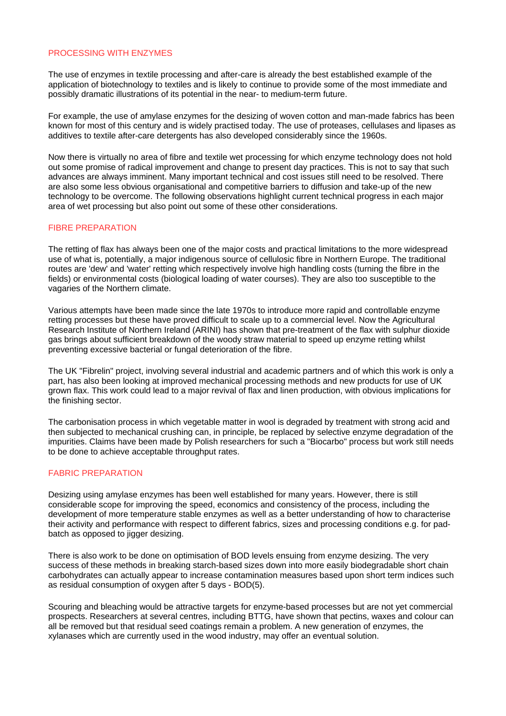#### PROCESSING WITH ENZYMES

The use of enzymes in textile processing and after-care is already the best established example of the application of biotechnology to textiles and is likely to continue to provide some of the most immediate and possibly dramatic illustrations of its potential in the near- to medium-term future.

For example, the use of amylase enzymes for the desizing of woven cotton and man-made fabrics has been known for most of this century and is widely practised today. The use of proteases, cellulases and lipases as additives to textile after-care detergents has also developed considerably since the 1960s.

Now there is virtually no area of fibre and textile wet processing for which enzyme technology does not hold out some promise of radical improvement and change to present day practices. This is not to say that such advances are always imminent. Many important technical and cost issues still need to be resolved. There are also some less obvious organisational and competitive barriers to diffusion and take-up of the new technology to be overcome. The following observations highlight current technical progress in each major area of wet processing but also point out some of these other considerations.

## FIBRE PREPARATION

The retting of flax has always been one of the major costs and practical limitations to the more widespread use of what is, potentially, a major indigenous source of cellulosic fibre in Northern Europe. The traditional routes are 'dew' and 'water' retting which respectively involve high handling costs (turning the fibre in the fields) or environmental costs (biological loading of water courses). They are also too susceptible to the vagaries of the Northern climate.

Various attempts have been made since the late 1970s to introduce more rapid and controllable enzyme retting processes but these have proved difficult to scale up to a commercial level. Now the Agricultural Research Institute of Northern Ireland (ARINI) has shown that pre-treatment of the flax with sulphur dioxide gas brings about sufficient breakdown of the woody straw material to speed up enzyme retting whilst preventing excessive bacterial or fungal deterioration of the fibre.

The UK "Fibrelin" project, involving several industrial and academic partners and of which this work is only a part, has also been looking at improved mechanical processing methods and new products for use of UK grown flax. This work could lead to a major revival of flax and linen production, with obvious implications for the finishing sector.

The carbonisation process in which vegetable matter in wool is degraded by treatment with strong acid and then subjected to mechanical crushing can, in principle, be replaced by selective enzyme degradation of the impurities. Claims have been made by Polish researchers for such a "Biocarbo" process but work still needs to be done to achieve acceptable throughput rates.

# FABRIC PREPARATION

Desizing using amylase enzymes has been well established for many years. However, there is still considerable scope for improving the speed, economics and consistency of the process, including the development of more temperature stable enzymes as well as a better understanding of how to characterise their activity and performance with respect to different fabrics, sizes and processing conditions e.g. for padbatch as opposed to jigger desizing.

There is also work to be done on optimisation of BOD levels ensuing from enzyme desizing. The very success of these methods in breaking starch-based sizes down into more easily biodegradable short chain carbohydrates can actually appear to increase contamination measures based upon short term indices such as residual consumption of oxygen after 5 days - BOD(5).

Scouring and bleaching would be attractive targets for enzyme-based processes but are not yet commercial prospects. Researchers at several centres, including BTTG, have shown that pectins, waxes and colour can all be removed but that residual seed coatings remain a problem. A new generation of enzymes, the xylanases which are currently used in the wood industry, may offer an eventual solution.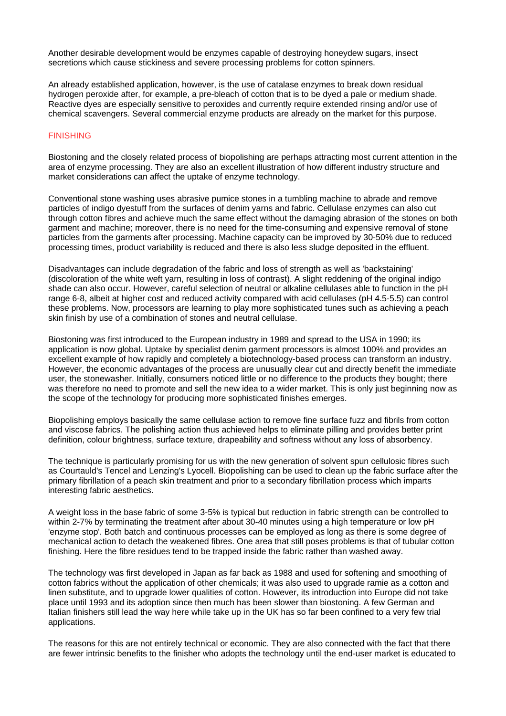Another desirable development would be enzymes capable of destroying honeydew sugars, insect secretions which cause stickiness and severe processing problems for cotton spinners.

An already established application, however, is the use of catalase enzymes to break down residual hydrogen peroxide after, for example, a pre-bleach of cotton that is to be dyed a pale or medium shade. Reactive dyes are especially sensitive to peroxides and currently require extended rinsing and/or use of chemical scavengers. Several commercial enzyme products are already on the market for this purpose.

## FINISHING

Biostoning and the closely related process of biopolishing are perhaps attracting most current attention in the area of enzyme processing. They are also an excellent illustration of how different industry structure and market considerations can affect the uptake of enzyme technology.

Conventional stone washing uses abrasive pumice stones in a tumbling machine to abrade and remove particles of indigo dyestuff from the surfaces of denim yarns and fabric. Cellulase enzymes can also cut through cotton fibres and achieve much the same effect without the damaging abrasion of the stones on both garment and machine; moreover, there is no need for the time-consuming and expensive removal of stone particles from the garments after processing. Machine capacity can be improved by 30-50% due to reduced processing times, product variability is reduced and there is also less sludge deposited in the effluent.

Disadvantages can include degradation of the fabric and loss of strength as well as 'backstaining' (discoloration of the white weft yarn, resulting in loss of contrast). A slight reddening of the original indigo shade can also occur. However, careful selection of neutral or alkaline cellulases able to function in the pH range 6-8, albeit at higher cost and reduced activity compared with acid cellulases (pH 4.5-5.5) can control these problems. Now, processors are learning to play more sophisticated tunes such as achieving a peach skin finish by use of a combination of stones and neutral cellulase.

Biostoning was first introduced to the European industry in 1989 and spread to the USA in 1990; its application is now global. Uptake by specialist denim garment processors is almost 100% and provides an excellent example of how rapidly and completely a biotechnology-based process can transform an industry. However, the economic advantages of the process are unusually clear cut and directly benefit the immediate user, the stonewasher. Initially, consumers noticed little or no difference to the products they bought; there was therefore no need to promote and sell the new idea to a wider market. This is only just beginning now as the scope of the technology for producing more sophisticated finishes emerges.

Biopolishing employs basically the same cellulase action to remove fine surface fuzz and fibrils from cotton and viscose fabrics. The polishing action thus achieved helps to eliminate pilling and provides better print definition, colour brightness, surface texture, drapeability and softness without any loss of absorbency.

The technique is particularly promising for us with the new generation of solvent spun cellulosic fibres such as Courtauld's Tencel and Lenzing's Lyocell. Biopolishing can be used to clean up the fabric surface after the primary fibrillation of a peach skin treatment and prior to a secondary fibrillation process which imparts interesting fabric aesthetics.

A weight loss in the base fabric of some 3-5% is typical but reduction in fabric strength can be controlled to within 2-7% by terminating the treatment after about 30-40 minutes using a high temperature or low pH 'enzyme stop'. Both batch and continuous processes can be employed as long as there is some degree of mechanical action to detach the weakened fibres. One area that still poses problems is that of tubular cotton finishing. Here the fibre residues tend to be trapped inside the fabric rather than washed away.

The technology was first developed in Japan as far back as 1988 and used for softening and smoothing of cotton fabrics without the application of other chemicals; it was also used to upgrade ramie as a cotton and linen substitute, and to upgrade lower qualities of cotton. However, its introduction into Europe did not take place until 1993 and its adoption since then much has been slower than biostoning. A few German and Italian finishers still lead the way here while take up in the UK has so far been confined to a very few trial applications.

The reasons for this are not entirely technical or economic. They are also connected with the fact that there are fewer intrinsic benefits to the finisher who adopts the technology until the end-user market is educated to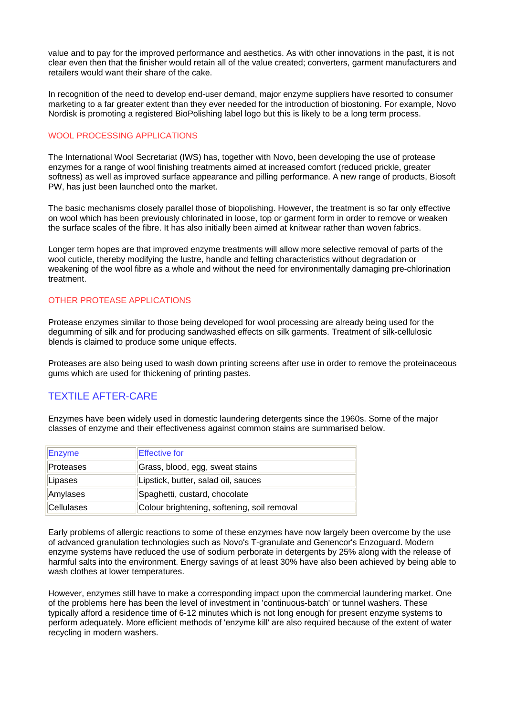value and to pay for the improved performance and aesthetics. As with other innovations in the past, it is not clear even then that the finisher would retain all of the value created; converters, garment manufacturers and retailers would want their share of the cake.

In recognition of the need to develop end-user demand, major enzyme suppliers have resorted to consumer marketing to a far greater extent than they ever needed for the introduction of biostoning. For example, Novo Nordisk is promoting a registered BioPolishing label logo but this is likely to be a long term process.

# WOOL PROCESSING APPLICATIONS

The International Wool Secretariat (IWS) has, together with Novo, been developing the use of protease enzymes for a range of wool finishing treatments aimed at increased comfort (reduced prickle, greater softness) as well as improved surface appearance and pilling performance. A new range of products, Biosoft PW, has just been launched onto the market.

The basic mechanisms closely parallel those of biopolishing. However, the treatment is so far only effective on wool which has been previously chlorinated in loose, top or garment form in order to remove or weaken the surface scales of the fibre. It has also initially been aimed at knitwear rather than woven fabrics.

Longer term hopes are that improved enzyme treatments will allow more selective removal of parts of the wool cuticle, thereby modifying the lustre, handle and felting characteristics without degradation or weakening of the wool fibre as a whole and without the need for environmentally damaging pre-chlorination treatment.

# OTHER PROTEASE APPLICATIONS

Protease enzymes similar to those being developed for wool processing are already being used for the degumming of silk and for producing sandwashed effects on silk garments. Treatment of silk-cellulosic blends is claimed to produce some unique effects.

Proteases are also being used to wash down printing screens after use in order to remove the proteinaceous gums which are used for thickening of printing pastes.

# TEXTILE AFTER-CARE

Enzymes have been widely used in domestic laundering detergents since the 1960s. Some of the major classes of enzyme and their effectiveness against common stains are summarised below.

| <b>Enzyme</b> | <b>Effective for</b>                        |
|---------------|---------------------------------------------|
| Proteases     | Grass, blood, egg, sweat stains             |
| Lipases       | Lipstick, butter, salad oil, sauces         |
| Amylases      | Spaghetti, custard, chocolate               |
| Cellulases    | Colour brightening, softening, soil removal |

Early problems of allergic reactions to some of these enzymes have now largely been overcome by the use of advanced granulation technologies such as Novo's T-granulate and Genencor's Enzoguard. Modern enzyme systems have reduced the use of sodium perborate in detergents by 25% along with the release of harmful salts into the environment. Energy savings of at least 30% have also been achieved by being able to wash clothes at lower temperatures.

However, enzymes still have to make a corresponding impact upon the commercial laundering market. One of the problems here has been the level of investment in 'continuous-batch' or tunnel washers. These typically afford a residence time of 6-12 minutes which is not long enough for present enzyme systems to perform adequately. More efficient methods of 'enzyme kill' are also required because of the extent of water recycling in modern washers.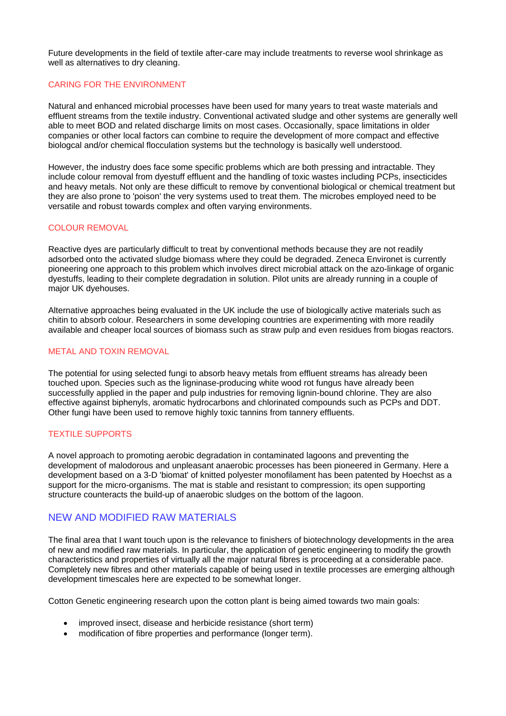Future developments in the field of textile after-care may include treatments to reverse wool shrinkage as well as alternatives to dry cleaning.

# CARING FOR THE ENVIRONMENT

Natural and enhanced microbial processes have been used for many years to treat waste materials and effluent streams from the textile industry. Conventional activated sludge and other systems are generally well able to meet BOD and related discharge limits on most cases. Occasionally, space limitations in older companies or other local factors can combine to require the development of more compact and effective biologcal and/or chemical flocculation systems but the technology is basically well understood.

However, the industry does face some specific problems which are both pressing and intractable. They include colour removal from dyestuff effluent and the handling of toxic wastes including PCPs, insecticides and heavy metals. Not only are these difficult to remove by conventional biological or chemical treatment but they are also prone to 'poison' the very systems used to treat them. The microbes employed need to be versatile and robust towards complex and often varying environments.

## COLOUR REMOVAL

Reactive dyes are particularly difficult to treat by conventional methods because they are not readily adsorbed onto the activated sludge biomass where they could be degraded. Zeneca Environet is currently pioneering one approach to this problem which involves direct microbial attack on the azo-linkage of organic dyestuffs, leading to their complete degradation in solution. Pilot units are already running in a couple of major UK dyehouses.

Alternative approaches being evaluated in the UK include the use of biologically active materials such as chitin to absorb colour. Researchers in some developing countries are experimenting with more readily available and cheaper local sources of biomass such as straw pulp and even residues from biogas reactors.

## METAL AND TOXIN REMOVAL

The potential for using selected fungi to absorb heavy metals from effluent streams has already been touched upon. Species such as the ligninase-producing white wood rot fungus have already been successfully applied in the paper and pulp industries for removing lignin-bound chlorine. They are also effective against biphenyls, aromatic hydrocarbons and chlorinated compounds such as PCPs and DDT. Other fungi have been used to remove highly toxic tannins from tannery effluents.

# TEXTILE SUPPORTS

A novel approach to promoting aerobic degradation in contaminated lagoons and preventing the development of malodorous and unpleasant anaerobic processes has been pioneered in Germany. Here a development based on a 3-D 'biomat' of knitted polyester monofilament has been patented by Hoechst as a support for the micro-organisms. The mat is stable and resistant to compression; its open supporting structure counteracts the build-up of anaerobic sludges on the bottom of the lagoon.

# NEW AND MODIFIED RAW MATERIALS

The final area that I want touch upon is the relevance to finishers of biotechnology developments in the area of new and modified raw materials. In particular, the application of genetic engineering to modify the growth characteristics and properties of virtually all the major natural fibres is proceeding at a considerable pace. Completely new fibres and other materials capable of being used in textile processes are emerging although development timescales here are expected to be somewhat longer.

Cotton Genetic engineering research upon the cotton plant is being aimed towards two main goals:

- improved insect, disease and herbicide resistance (short term)
- modification of fibre properties and performance (longer term).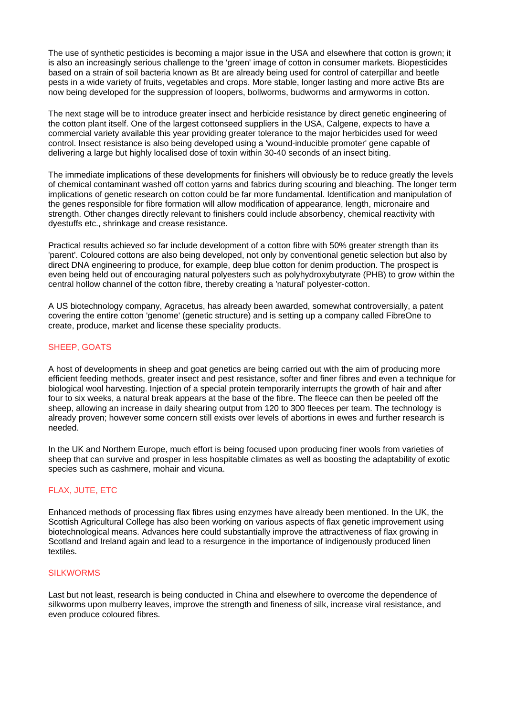The use of synthetic pesticides is becoming a major issue in the USA and elsewhere that cotton is grown; it is also an increasingly serious challenge to the 'green' image of cotton in consumer markets. Biopesticides based on a strain of soil bacteria known as Bt are already being used for control of caterpillar and beetle pests in a wide variety of fruits, vegetables and crops. More stable, longer lasting and more active Bts are now being developed for the suppression of loopers, bollworms, budworms and armyworms in cotton.

The next stage will be to introduce greater insect and herbicide resistance by direct genetic engineering of the cotton plant itself. One of the largest cottonseed suppliers in the USA, Calgene, expects to have a commercial variety available this year providing greater tolerance to the major herbicides used for weed control. Insect resistance is also being developed using a 'wound-inducible promoter' gene capable of delivering a large but highly localised dose of toxin within 30-40 seconds of an insect biting.

The immediate implications of these developments for finishers will obviously be to reduce greatly the levels of chemical contaminant washed off cotton yarns and fabrics during scouring and bleaching. The longer term implications of genetic research on cotton could be far more fundamental. Identification and manipulation of the genes responsible for fibre formation will allow modification of appearance, length, micronaire and strength. Other changes directly relevant to finishers could include absorbency, chemical reactivity with dyestuffs etc., shrinkage and crease resistance.

Practical results achieved so far include development of a cotton fibre with 50% greater strength than its 'parent'. Coloured cottons are also being developed, not only by conventional genetic selection but also by direct DNA engineering to produce, for example, deep blue cotton for denim production. The prospect is even being held out of encouraging natural polyesters such as polyhydroxybutyrate (PHB) to grow within the central hollow channel of the cotton fibre, thereby creating a 'natural' polyester-cotton.

A US biotechnology company, Agracetus, has already been awarded, somewhat controversially, a patent covering the entire cotton 'genome' (genetic structure) and is setting up a company called FibreOne to create, produce, market and license these speciality products.

# SHEEP, GOATS

A host of developments in sheep and goat genetics are being carried out with the aim of producing more efficient feeding methods, greater insect and pest resistance, softer and finer fibres and even a technique for biological wool harvesting. Injection of a special protein temporarily interrupts the growth of hair and after four to six weeks, a natural break appears at the base of the fibre. The fleece can then be peeled off the sheep, allowing an increase in daily shearing output from 120 to 300 fleeces per team. The technology is already proven; however some concern still exists over levels of abortions in ewes and further research is needed.

In the UK and Northern Europe, much effort is being focused upon producing finer wools from varieties of sheep that can survive and prosper in less hospitable climates as well as boosting the adaptability of exotic species such as cashmere, mohair and vicuna.

# FLAX, JUTE, ETC

Enhanced methods of processing flax fibres using enzymes have already been mentioned. In the UK, the Scottish Agricultural College has also been working on various aspects of flax genetic improvement using biotechnological means. Advances here could substantially improve the attractiveness of flax growing in Scotland and Ireland again and lead to a resurgence in the importance of indigenously produced linen textiles.

## SILKWORMS

Last but not least, research is being conducted in China and elsewhere to overcome the dependence of silkworms upon mulberry leaves, improve the strength and fineness of silk, increase viral resistance, and even produce coloured fibres.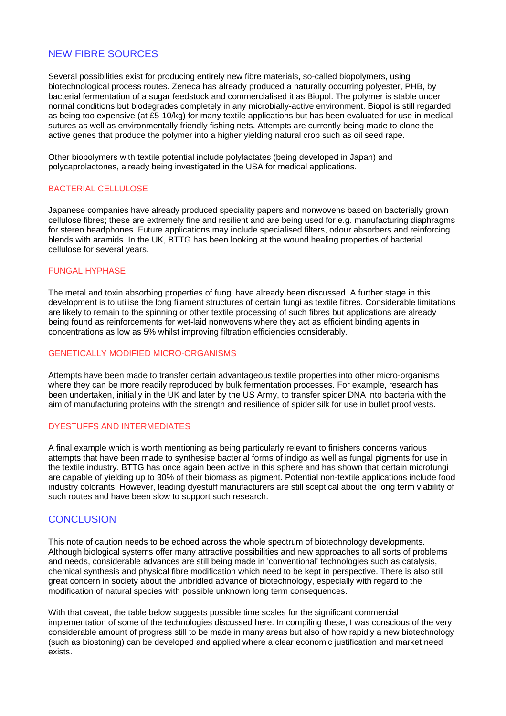# NEW FIBRE SOURCES

Several possibilities exist for producing entirely new fibre materials, so-called biopolymers, using biotechnological process routes. Zeneca has already produced a naturally occurring polyester, PHB, by bacterial fermentation of a sugar feedstock and commercialised it as Biopol. The polymer is stable under normal conditions but biodegrades completely in any microbially-active environment. Biopol is still regarded as being too expensive (at £5-10/kg) for many textile applications but has been evaluated for use in medical sutures as well as environmentally friendly fishing nets. Attempts are currently being made to clone the active genes that produce the polymer into a higher yielding natural crop such as oil seed rape.

Other biopolymers with textile potential include polylactates (being developed in Japan) and polycaprolactones, already being investigated in the USA for medical applications.

# BACTERIAL CELLULOSE

Japanese companies have already produced speciality papers and nonwovens based on bacterially grown cellulose fibres; these are extremely fine and resilient and are being used for e.g. manufacturing diaphragms for stereo headphones. Future applications may include specialised filters, odour absorbers and reinforcing blends with aramids. In the UK, BTTG has been looking at the wound healing properties of bacterial cellulose for several years.

#### FUNGAL HYPHASE

The metal and toxin absorbing properties of fungi have already been discussed. A further stage in this development is to utilise the long filament structures of certain fungi as textile fibres. Considerable limitations are likely to remain to the spinning or other textile processing of such fibres but applications are already being found as reinforcements for wet-laid nonwovens where they act as efficient binding agents in concentrations as low as 5% whilst improving filtration efficiencies considerably.

#### GENETICALLY MODIFIED MICRO-ORGANISMS

Attempts have been made to transfer certain advantageous textile properties into other micro-organisms where they can be more readily reproduced by bulk fermentation processes. For example, research has been undertaken, initially in the UK and later by the US Army, to transfer spider DNA into bacteria with the aim of manufacturing proteins with the strength and resilience of spider silk for use in bullet proof vests.

#### DYESTUFFS AND INTERMEDIATES

A final example which is worth mentioning as being particularly relevant to finishers concerns various attempts that have been made to synthesise bacterial forms of indigo as well as fungal pigments for use in the textile industry. BTTG has once again been active in this sphere and has shown that certain microfungi are capable of yielding up to 30% of their biomass as pigment. Potential non-textile applications include food industry colorants. However, leading dyestuff manufacturers are still sceptical about the long term viability of such routes and have been slow to support such research.

# **CONCLUSION**

This note of caution needs to be echoed across the whole spectrum of biotechnology developments. Although biological systems offer many attractive possibilities and new approaches to all sorts of problems and needs, considerable advances are still being made in 'conventional' technologies such as catalysis, chemical synthesis and physical fibre modification which need to be kept in perspective. There is also still great concern in society about the unbridled advance of biotechnology, especially with regard to the modification of natural species with possible unknown long term consequences.

With that caveat, the table below suggests possible time scales for the significant commercial implementation of some of the technologies discussed here. In compiling these, I was conscious of the very considerable amount of progress still to be made in many areas but also of how rapidly a new biotechnology (such as biostoning) can be developed and applied where a clear economic justification and market need exists.